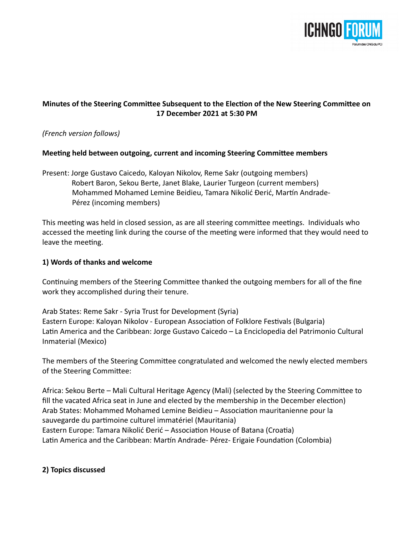

# **Minutes of the Steering Committee Subsequent to the Election of the New Steering Committee on 17 December 2021 at 5:30 PM**

### *(French version follows)*

### **Meeting held between outgoing, current and incoming Steering Committee members**

Present: Jorge Gustavo Caicedo, Kaloyan Nikolov, Reme Sakr (outgoing members) Robert Baron, Sekou Berte, Janet Blake, Laurier Turgeon (current members) Mohammed Mohamed Lemine Beidieu, Tamara Nikolić Đerić, Martín Andrade- Pérez (incoming members)

This meeting was held in closed session, as are all steering committee meetings. Individuals who accessed the meeting link during the course of the meeting were informed that they would need to leave the meeting.

### **1) Words of thanks and welcome**

Continuing members of the Steering Committee thanked the outgoing members for all of the fine work they accomplished during their tenure.

Arab States: Reme Sakr - Syria Trust for Development (Syria) Eastern Europe: Kaloyan Nikolov - European Association of Folklore Festivals (Bulgaria) Latin America and the Caribbean: Jorge Gustavo Caicedo – La Enciclopedia del Patrimonio Cultural Inmaterial (Mexico)

The members of the Steering Committee congratulated and welcomed the newly elected members of the Steering Committee:

Africa: Sekou Berte – Mali Cultural Heritage Agency (Mali) (selected by the Steering Committee to fill the vacated Africa seat in June and elected by the membership in the December election) Arab States: Mohammed Mohamed Lemine Beidieu – Association mauritanienne pour la sauvegarde du partimoine culturel immatériel (Mauritania) Eastern Europe: Tamara Nikolić Đerić – Association House of Batana (Croatia) Latin America and the Caribbean: Martín Andrade- Pérez- Erigaie Foundation (Colombia)

### **2) Topics discussed**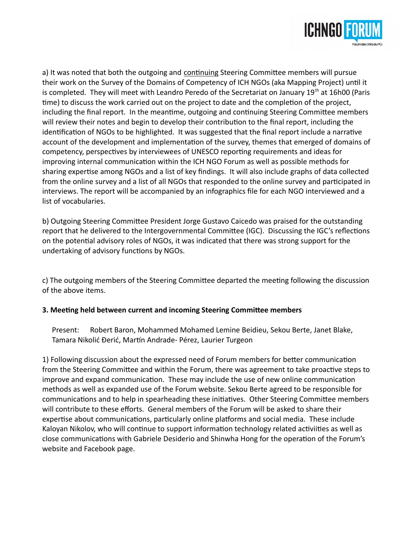

a) It was noted that both the outgoing and continuing Steering Committee members will pursue their work on the Survey of the Domains of Competency of ICH NGOs (aka Mapping Project) until it is completed. They will meet with Leandro Peredo of the Secretariat on January 19<sup>th</sup> at 16h00 (Paris time) to discuss the work carried out on the project to date and the completion of the project, including the final report. In the meantime, outgoing and continuing Steering Committee members will review their notes and begin to develop their contribution to the final report, including the identification of NGOs to be highlighted. It was suggested that the final report include a narrative account of the development and implementation of the survey, themes that emerged of domains of competency, perspectives by interviewees of UNESCO reporting requirements and ideas for improving internal communication within the ICH NGO Forum as well as possible methods for sharing expertise among NGOs and a list of key findings. It will also include graphs of data collected from the online survey and a list of all NGOs that responded to the online survey and participated in interviews. The report will be accompanied by an infographics file for each NGO interviewed and a list of vocabularies.

b) Outgoing Steering Committee President Jorge Gustavo Caicedo was praised for the outstanding report that he delivered to the Intergovernmental Committee (IGC). Discussing the IGC's reflections on the potential advisory roles of NGOs, it was indicated that there was strong support for the undertaking of advisory functions by NGOs.

c) The outgoing members of the Steering Committee departed the meeting following the discussion of the above items.

### **3. Meeting held between current and incoming Steering Committee members**

Present: Robert Baron, Mohammed Mohamed Lemine Beidieu, Sekou Berte, Janet Blake, Tamara Nikolić Đerić, Martín Andrade- Pérez, Laurier Turgeon

1) Following discussion about the expressed need of Forum members for better communication from the Steering Committee and within the Forum, there was agreement to take proactive steps to improve and expand communication. These may include the use of new online communication methods as well as expanded use of the Forum website. Sekou Berte agreed to be responsible for communications and to help in spearheading these initiatives. Other Steering Committee members will contribute to these efforts. General members of the Forum will be asked to share their expertise about communications, particularly online platforms and social media. These include Kaloyan Nikolov, who will continue to support information technology related activiities as well as close communications with Gabriele Desiderio and Shinwha Hong for the operation of the Forum's website and Facebook page.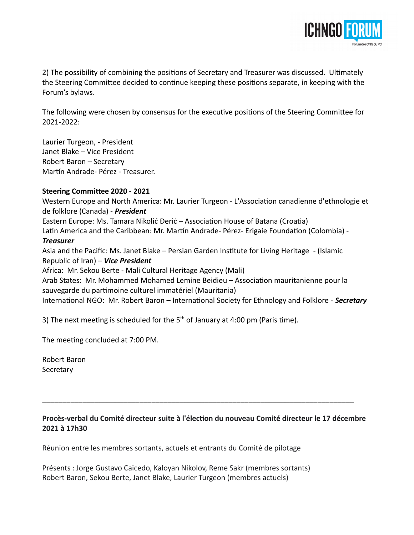

2) The possibility of combining the positions of Secretary and Treasurer was discussed. Ultimately the Steering Committee decided to continue keeping these positions separate, in keeping with the Forum's bylaws.

The following were chosen by consensus for the executive positions of the Steering Committee for 2021-2022:

Laurier Turgeon, - President Janet Blake – Vice President Robert Baron – Secretary Martín Andrade- Pérez - Treasurer.

### **Steering Committee 2020 - 2021**

Western Europe and North America: Mr. Laurier Turgeon - L'Association canadienne d'ethnologie et de folklore (Canada) - *President*

Eastern Europe: Ms. Tamara Nikolić Đerić – Association House of Batana (Croatia)

Latin America and the Caribbean: Mr. Martín Andrade- Pérez- Erigaie Foundation (Colombia) -

### *Treasurer*

Asia and the Pacific: Ms. Janet Blake – Persian Garden Institute for Living Heritage - (Islamic Republic of Iran) – *Vice President* Africa: Mr. Sekou Berte - Mali Cultural Heritage Agency (Mali) Arab States: Mr. Mohammed Mohamed Lemine Beidieu – Association mauritanienne pour la sauvegarde du partimoine culturel immatériel (Mauritania) International NGO: Mr. Robert Baron – International Society for Ethnology and Folklore - *Secretary*

3) The next meeting is scheduled for the  $5<sup>th</sup>$  of January at 4:00 pm (Paris time).

The meeting concluded at 7:00 PM.

Robert Baron **Secretary** 

**Procès-verbal du Comité directeur suite à l'élection du nouveau Comité directeur le 17 décembre 2021 à 17h30**

\_\_\_\_\_\_\_\_\_\_\_\_\_\_\_\_\_\_\_\_\_\_\_\_\_\_\_\_\_\_\_\_\_\_\_\_\_\_\_\_\_\_\_\_\_\_\_\_\_\_\_\_\_\_\_\_\_\_\_\_\_\_\_\_\_\_\_\_\_\_\_\_\_\_\_\_\_

Réunion entre les membres sortants, actuels et entrants du Comité de pilotage

Présents : Jorge Gustavo Caicedo, Kaloyan Nikolov, Reme Sakr (membres sortants) Robert Baron, Sekou Berte, Janet Blake, Laurier Turgeon (membres actuels)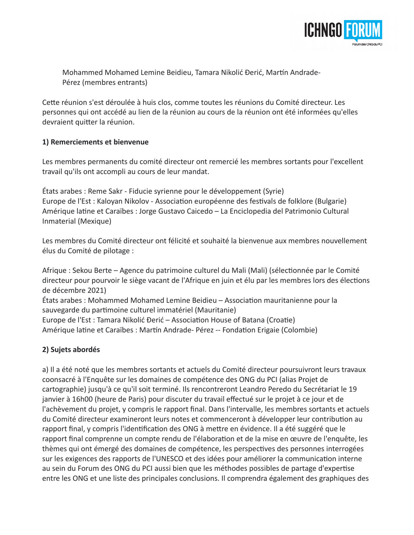

 Mohammed Mohamed Lemine Beidieu, Tamara Nikolić Đerić, Martín Andrade- Pérez (membres entrants)

Cette réunion s'est déroulée à huis clos, comme toutes les réunions du Comité directeur. Les personnes qui ont accédé au lien de la réunion au cours de la réunion ont été informées qu'elles devraient quitter la réunion.

### **1) Remerciements et bienvenue**

Les membres permanents du comité directeur ont remercié les membres sortants pour l'excellent travail qu'ils ont accompli au cours de leur mandat.

États arabes : Reme Sakr - Fiducie syrienne pour le développement (Syrie) Europe de l'Est : Kaloyan Nikolov - Association européenne des festivals de folklore (Bulgarie) Amérique latine et Caraïbes : Jorge Gustavo Caicedo – La Enciclopedia del Patrimonio Cultural Inmaterial (Mexique)

Les membres du Comité directeur ont félicité et souhaité la bienvenue aux membres nouvellement élus du Comité de pilotage :

Afrique : Sekou Berte – Agence du patrimoine culturel du Mali (Mali) (sélectionnée par le Comité directeur pour pourvoir le siège vacant de l'Afrique en juin et élu par les membres lors des élections de décembre 2021)

États arabes : Mohammed Mohamed Lemine Beidieu – Association mauritanienne pour la sauvegarde du partimoine culturel immatériel (Mauritanie)

Europe de l'Est : Tamara Nikolić Đerić – Association House of Batana (Croatie) Amérique latine et Caraïbes : Martín Andrade- Pérez -- Fondation Erigaie (Colombie)

## **2) Sujets abordés**

a) Il a été noté que les membres sortants et actuels du Comité directeur poursuivront leurs travaux coonsacré à l'Enquête sur les domaines de compétence des ONG du PCI (alias Projet de cartographie) jusqu'à ce qu'il soit terminé. Ils rencontreront Leandro Peredo du Secrétariat le 19 janvier à 16h00 (heure de Paris) pour discuter du travail effectué sur le projet à ce jour et de l'achèvement du projet, y compris le rapport final. Dans l'intervalle, les membres sortants et actuels du Comité directeur examineront leurs notes et commenceront à développer leur contribution au rapport final, y compris l'identification des ONG à mettre en évidence. Il a été suggéré que le rapport final comprenne un compte rendu de l'élaboration et de la mise en œuvre de l'enquête, les thèmes qui ont émergé des domaines de compétence, les perspectives des personnes interrogées sur les exigences des rapports de l'UNESCO et des idées pour améliorer la communication interne au sein du Forum des ONG du PCI aussi bien que les méthodes possibles de partage d'expertise entre les ONG et une liste des principales conclusions. Il comprendra également des graphiques des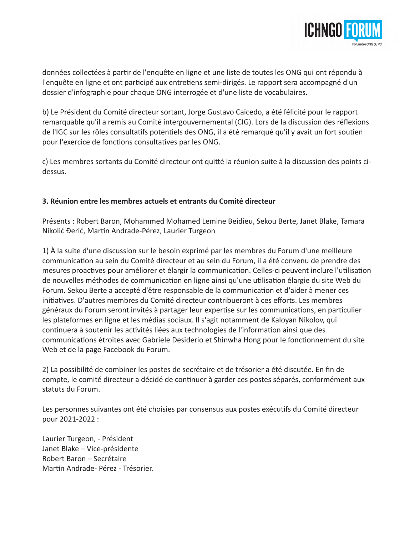

données collectées à partir de l'enquête en ligne et une liste de toutes les ONG qui ont répondu à l'enquête en ligne et ont participé aux entretiens semi-dirigés. Le rapport sera accompagné d'un dossier d'infographie pour chaque ONG interrogée et d'une liste de vocabulaires.

b) Le Président du Comité directeur sortant, Jorge Gustavo Caicedo, a été félicité pour le rapport remarquable qu'il a remis au Comité intergouvernemental (CIG). Lors de la discussion des réflexions de l'IGC sur les rôles consultatifs potentiels des ONG, il a été remarqué qu'il y avait un fort soutien pour l'exercice de fonctions consultatives par les ONG.

c) Les membres sortants du Comité directeur ont quitté la réunion suite à la discussion des points cidessus.

### **3. Réunion entre les membres actuels et entrants du Comité directeur**

Présents : Robert Baron, Mohammed Mohamed Lemine Beidieu, Sekou Berte, Janet Blake, Tamara Nikolić Đerić, Martín Andrade-Pérez, Laurier Turgeon

1) À la suite d'une discussion sur le besoin exprimé par les membres du Forum d'une meilleure communication au sein du Comité directeur et au sein du Forum, il a été convenu de prendre des mesures proactives pour améliorer et élargir la communication. Celles-ci peuvent inclure l'utilisation de nouvelles méthodes de communication en ligne ainsi qu'une utilisation élargie du site Web du Forum. Sekou Berte a accepté d'être responsable de la communication et d'aider à mener ces initiatives. D'autres membres du Comité directeur contribueront à ces efforts. Les membres généraux du Forum seront invités à partager leur expertise sur les communications, en particulier les plateformes en ligne et les médias sociaux. Il s'agit notamment de Kaloyan Nikolov, qui continuera à soutenir les activités liées aux technologies de l'information ainsi que des communications étroites avec Gabriele Desiderio et Shinwha Hong pour le fonctionnement du site Web et de la page Facebook du Forum.

2) La possibilité de combiner les postes de secrétaire et de trésorier a été discutée. En fin de compte, le comité directeur a décidé de continuer à garder ces postes séparés, conformément aux statuts du Forum.

Les personnes suivantes ont été choisies par consensus aux postes exécutifs du Comité directeur pour 2021-2022 :

Laurier Turgeon, - Président Janet Blake – Vice-présidente Robert Baron – Secrétaire Martín Andrade- Pérez - Trésorier.